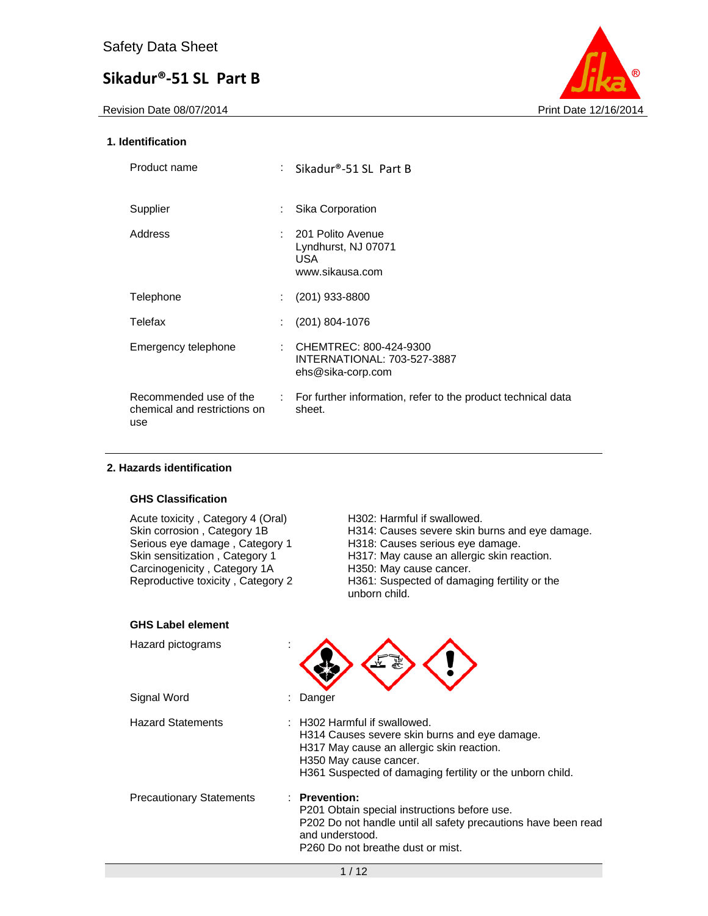

### **1. Identification**

| Product name                                                  | : Sikadur®-51 SL Part B                                                    |
|---------------------------------------------------------------|----------------------------------------------------------------------------|
| Supplier                                                      | Sika Corporation                                                           |
| Address                                                       | 201 Polito Avenue<br>Lyndhurst, NJ 07071<br>USA.<br>www.sikausa.com        |
| Telephone                                                     | $(201)$ 933-8800                                                           |
| Telefax                                                       | $(201)$ 804-1076                                                           |
| Emergency telephone                                           | CHEMTREC: 800-424-9300<br>INTERNATIONAL: 703-527-3887<br>ehs@sika-corp.com |
| Recommended use of the<br>chemical and restrictions on<br>use | : For further information, refer to the product technical data<br>sheet.   |

### **2. Hazards identification**

### **GHS Classification**

| ווטוווככּגוּט טווט                                                                                                                                                                                        |                                                                                                                                                                                                                                                             |
|-----------------------------------------------------------------------------------------------------------------------------------------------------------------------------------------------------------|-------------------------------------------------------------------------------------------------------------------------------------------------------------------------------------------------------------------------------------------------------------|
| Acute toxicity, Category 4 (Oral)<br>Skin corrosion, Category 1B<br>Serious eye damage, Category 1<br>Skin sensitization, Category 1<br>Carcinogenicity, Category 1A<br>Reproductive toxicity, Category 2 | H302: Harmful if swallowed.<br>H314: Causes severe skin burns and eye damage.<br>H318: Causes serious eye damage.<br>H317: May cause an allergic skin reaction.<br>H350: May cause cancer.<br>H361: Suspected of damaging fertility or the<br>unborn child. |
| <b>GHS Label element</b>                                                                                                                                                                                  |                                                                                                                                                                                                                                                             |
| Hazard pictograms                                                                                                                                                                                         |                                                                                                                                                                                                                                                             |
| Signal Word                                                                                                                                                                                               | Danger                                                                                                                                                                                                                                                      |
| <b>Hazard Statements</b>                                                                                                                                                                                  | H302 Harmful if swallowed.<br>H314 Causes severe skin burns and eye damage.<br>H317 May cause an allergic skin reaction.<br>H350 May cause cancer.<br>H361 Suspected of damaging fertility or the unborn child.                                             |
| <b>Precautionary Statements</b>                                                                                                                                                                           | : Prevention:<br>P201 Obtain special instructions before use.<br>P202 Do not handle until all safety precautions have been read<br>and understood.<br>P <sub>260</sub> Do not breathe dust or mist.                                                         |
|                                                                                                                                                                                                           | 1/12                                                                                                                                                                                                                                                        |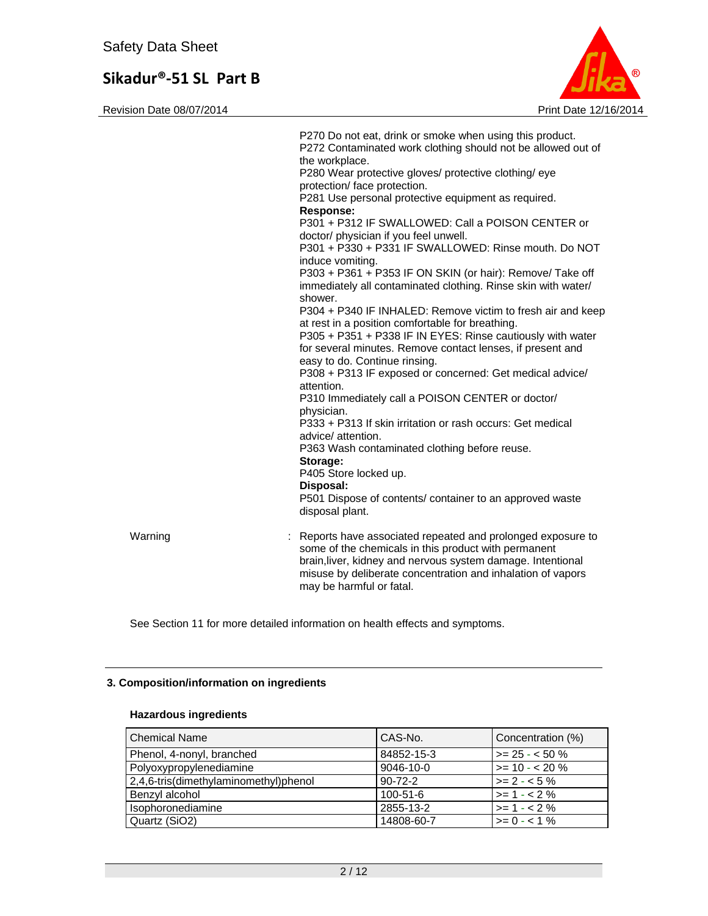Revision Date 08/07/2014 2014



|         | P270 Do not eat, drink or smoke when using this product.<br>P272 Contaminated work clothing should not be allowed out of<br>the workplace.<br>P280 Wear protective gloves/ protective clothing/ eye<br>protection/ face protection.<br>P281 Use personal protective equipment as required.<br><b>Response:</b><br>P301 + P312 IF SWALLOWED: Call a POISON CENTER or<br>doctor/ physician if you feel unwell.<br>P301 + P330 + P331 IF SWALLOWED: Rinse mouth. Do NOT<br>induce vomiting.<br>P303 + P361 + P353 IF ON SKIN (or hair): Remove/ Take off<br>immediately all contaminated clothing. Rinse skin with water/<br>shower.<br>P304 + P340 IF INHALED: Remove victim to fresh air and keep<br>at rest in a position comfortable for breathing.<br>P305 + P351 + P338 IF IN EYES: Rinse cautiously with water<br>for several minutes. Remove contact lenses, if present and<br>easy to do. Continue rinsing.<br>P308 + P313 IF exposed or concerned: Get medical advice/<br>attention.<br>P310 Immediately call a POISON CENTER or doctor/<br>physician.<br>P333 + P313 If skin irritation or rash occurs: Get medical<br>advice/ attention.<br>P363 Wash contaminated clothing before reuse.<br>Storage:<br>P405 Store locked up.<br>Disposal:<br>P501 Dispose of contents/ container to an approved waste<br>disposal plant. |
|---------|-------------------------------------------------------------------------------------------------------------------------------------------------------------------------------------------------------------------------------------------------------------------------------------------------------------------------------------------------------------------------------------------------------------------------------------------------------------------------------------------------------------------------------------------------------------------------------------------------------------------------------------------------------------------------------------------------------------------------------------------------------------------------------------------------------------------------------------------------------------------------------------------------------------------------------------------------------------------------------------------------------------------------------------------------------------------------------------------------------------------------------------------------------------------------------------------------------------------------------------------------------------------------------------------------------------------------------------|
| Warning | : Reports have associated repeated and prolonged exposure to<br>some of the chemicals in this product with permanent<br>brain, liver, kidney and nervous system damage. Intentional<br>misuse by deliberate concentration and inhalation of vapors<br>may be harmful or fatal.                                                                                                                                                                                                                                                                                                                                                                                                                                                                                                                                                                                                                                                                                                                                                                                                                                                                                                                                                                                                                                                      |

See Section 11 for more detailed information on health effects and symptoms.

### **3. Composition/information on ingredients**

#### **Hazardous ingredients**

| <b>Chemical Name</b>                  | CAS-No.         | Concentration (%)   |
|---------------------------------------|-----------------|---------------------|
| Phenol, 4-nonyl, branched             | 84852-15-3      | $>= 25 - 50 \%$     |
| Polyoxypropylenediamine               | $9046 - 10 - 0$ | $\ge$ = 10 - < 20 % |
| 2,4,6-tris(dimethylaminomethyl)phenol | $90 - 72 - 2$   | $>= 2 - 5\%$        |
| Benzyl alcohol                        | $100 - 51 - 6$  | $>= 1 - 2%$         |
| Isophoronediamine                     | 2855-13-2       | $>= 1 - 2%$         |
| Quartz (SiO2)                         | 14808-60-7      | $>= 0 - 1\%$        |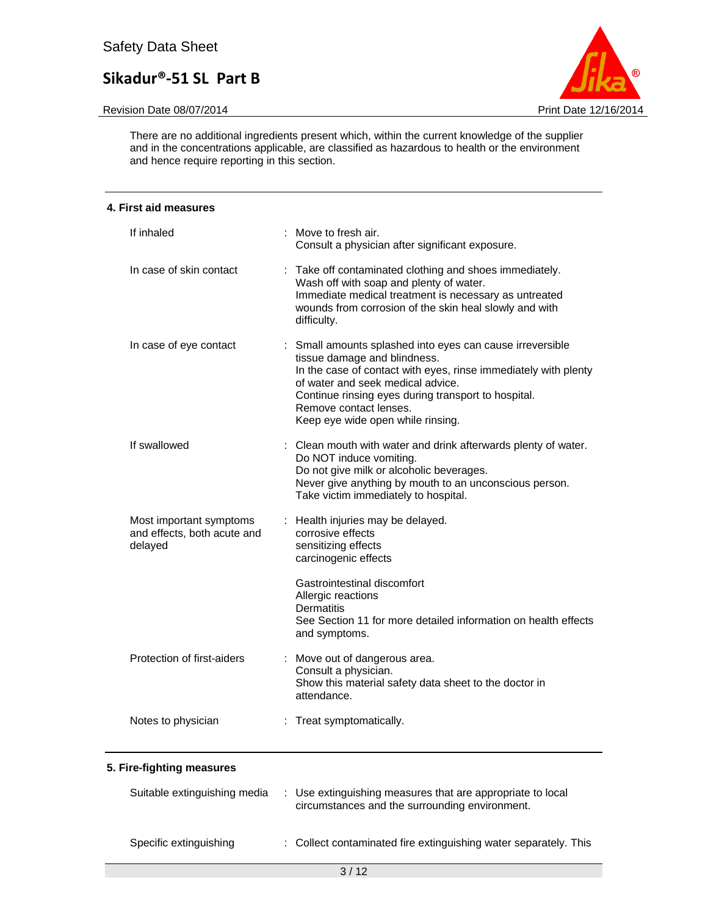#### Revision Date 08/07/2014 **Print Date 12/16/2014** Print Date 12/16/2014



There are no additional ingredients present which, within the current knowledge of the supplier and in the concentrations applicable, are classified as hazardous to health or the environment and hence require reporting in this section.

### **4. First aid measures**  If inhaled : Move to fresh air. Consult a physician after significant exposure. In case of skin contact : Take off contaminated clothing and shoes immediately. Wash off with soap and plenty of water. Immediate medical treatment is necessary as untreated wounds from corrosion of the skin heal slowly and with difficulty. In case of eye contact : Small amounts splashed into eyes can cause irreversible tissue damage and blindness. In the case of contact with eyes, rinse immediately with plenty of water and seek medical advice. Continue rinsing eyes during transport to hospital. Remove contact lenses. Keep eye wide open while rinsing. If swallowed : Clean mouth with water and drink afterwards plenty of water. Do NOT induce vomiting. Do not give milk or alcoholic beverages. Never give anything by mouth to an unconscious person. Take victim immediately to hospital. Most important symptoms and effects, both acute and delayed : Health injuries may be delayed. corrosive effects sensitizing effects carcinogenic effects Gastrointestinal discomfort Allergic reactions **Dermatitis** See Section 11 for more detailed information on health effects and symptoms. Protection of first-aiders : Move out of dangerous area. Consult a physician. Show this material safety data sheet to the doctor in attendance. Notes to physician : Treat symptomatically.

#### **5. Fire-fighting measures**

| Suitable extinguishing media | : Use extinguishing measures that are appropriate to local<br>circumstances and the surrounding environment. |
|------------------------------|--------------------------------------------------------------------------------------------------------------|
| Specific extinguishing       | : Collect contaminated fire extinguishing water separately. This                                             |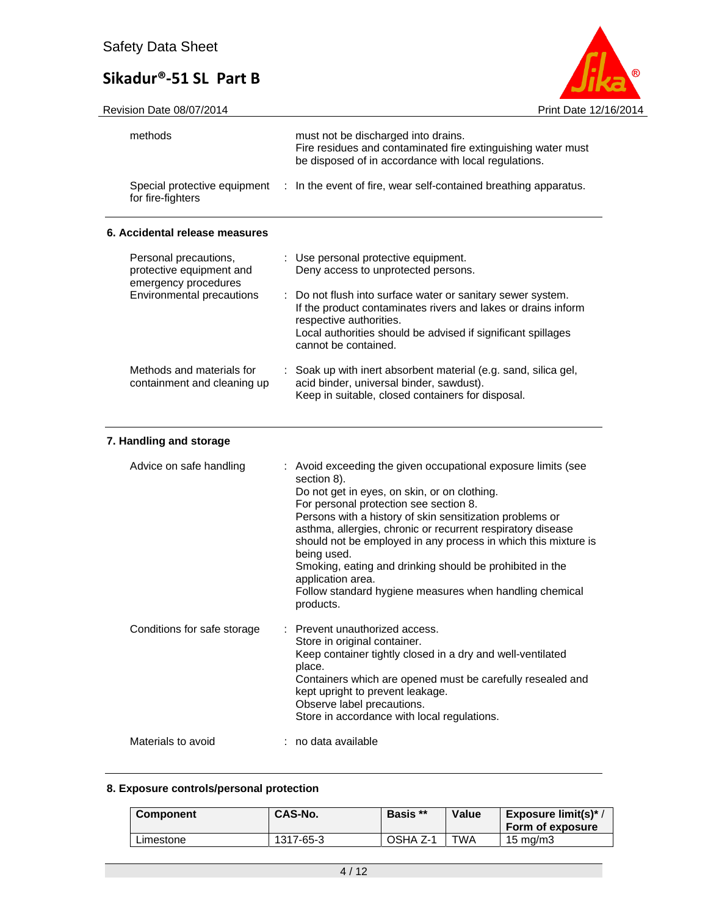

| methods                                                                   | must not be discharged into drains.<br>Fire residues and contaminated fire extinguishing water must<br>be disposed of in accordance with local regulations.                                                                                                                                                                                                                                                                                                                                                                                 |
|---------------------------------------------------------------------------|---------------------------------------------------------------------------------------------------------------------------------------------------------------------------------------------------------------------------------------------------------------------------------------------------------------------------------------------------------------------------------------------------------------------------------------------------------------------------------------------------------------------------------------------|
| Special protective equipment<br>for fire-fighters                         | : In the event of fire, wear self-contained breathing apparatus.                                                                                                                                                                                                                                                                                                                                                                                                                                                                            |
| 6. Accidental release measures                                            |                                                                                                                                                                                                                                                                                                                                                                                                                                                                                                                                             |
| Personal precautions,<br>protective equipment and<br>emergency procedures | : Use personal protective equipment.<br>Deny access to unprotected persons.                                                                                                                                                                                                                                                                                                                                                                                                                                                                 |
| <b>Environmental precautions</b>                                          | : Do not flush into surface water or sanitary sewer system.<br>If the product contaminates rivers and lakes or drains inform<br>respective authorities.<br>Local authorities should be advised if significant spillages<br>cannot be contained.                                                                                                                                                                                                                                                                                             |
| Methods and materials for<br>containment and cleaning up                  | : Soak up with inert absorbent material (e.g. sand, silica gel,<br>acid binder, universal binder, sawdust).<br>Keep in suitable, closed containers for disposal.                                                                                                                                                                                                                                                                                                                                                                            |
| 7. Handling and storage                                                   |                                                                                                                                                                                                                                                                                                                                                                                                                                                                                                                                             |
| Advice on safe handling                                                   | : Avoid exceeding the given occupational exposure limits (see<br>section 8).<br>Do not get in eyes, on skin, or on clothing.<br>For personal protection see section 8.<br>Persons with a history of skin sensitization problems or<br>asthma, allergies, chronic or recurrent respiratory disease<br>should not be employed in any process in which this mixture is<br>being used.<br>Smoking, eating and drinking should be prohibited in the<br>application area.<br>Follow standard hygiene measures when handling chemical<br>products. |
| Conditions for safe storage                                               | : Prevent unauthorized access.<br>Store in original container.<br>Keep container tightly closed in a dry and well-ventilated<br>place.<br>Containers which are opened must be carefully resealed and<br>kept upright to prevent leakage.<br>Observe label precautions.<br>Store in accordance with local regulations.                                                                                                                                                                                                                       |
| Materials to avoid                                                        | : no data available                                                                                                                                                                                                                                                                                                                                                                                                                                                                                                                         |
|                                                                           |                                                                                                                                                                                                                                                                                                                                                                                                                                                                                                                                             |

### **8. Exposure controls/personal protection**

| <b>Component</b> | CAS-No.   | Basis **                | Value | Exposure limit(s)*<br>Form of exposure |
|------------------|-----------|-------------------------|-------|----------------------------------------|
| Limestone        | 1317-65-3 | $\overline{)}$ OSHA Z-1 | TWA   | 15 mg/m3                               |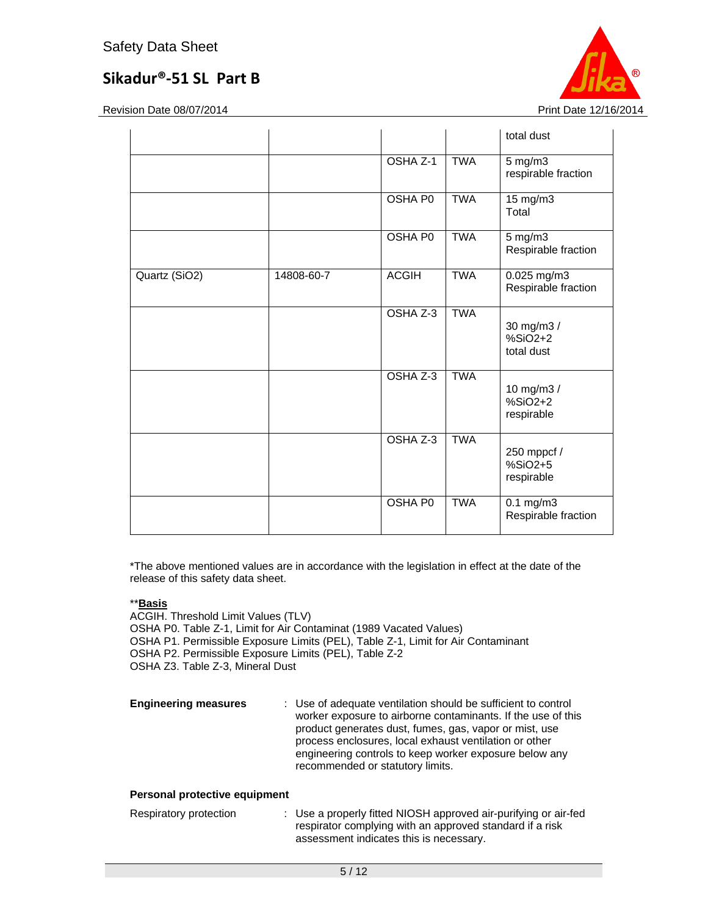Revision Date 08/07/2014 **Print Date 12/16/2014** 

|               |            |                |            | total dust                             |
|---------------|------------|----------------|------------|----------------------------------------|
|               |            | OSHA Z-1       | <b>TWA</b> | $5$ mg/m $3$<br>respirable fraction    |
|               |            | <b>OSHA P0</b> | <b>TWA</b> | 15 mg/m3<br>Total                      |
|               |            | <b>OSHA P0</b> | <b>TWA</b> | 5 mg/m3<br>Respirable fraction         |
| Quartz (SiO2) | 14808-60-7 | <b>ACGIH</b>   | <b>TWA</b> | 0.025 mg/m3<br>Respirable fraction     |
|               |            | OSHA Z-3       | <b>TWA</b> | 30 mg/m3 /<br>$%SiO2+2$<br>total dust  |
|               |            | OSHA Z-3       | <b>TWA</b> | 10 mg/m3 /<br>$%SiO2+2$<br>respirable  |
|               |            | OSHA Z-3       | <b>TWA</b> | 250 mppcf /<br>$%SiO2+5$<br>respirable |
|               |            | OSHA P0        | <b>TWA</b> | $0.1$ mg/m $3$<br>Respirable fraction  |

\*The above mentioned values are in accordance with the legislation in effect at the date of the release of this safety data sheet.

### \*\***Basis**

ACGIH. Threshold Limit Values (TLV) OSHA P0. Table Z-1, Limit for Air Contaminat (1989 Vacated Values) OSHA P1. Permissible Exposure Limits (PEL), Table Z-1, Limit for Air Contaminant OSHA P2. Permissible Exposure Limits (PEL), Table Z-2 OSHA Z3. Table Z-3, Mineral Dust

| <b>Engineering measures</b> | : Use of adequate ventilation should be sufficient to control<br>worker exposure to airborne contaminants. If the use of this<br>product generates dust, fumes, gas, vapor or mist, use<br>process enclosures, local exhaust ventilation or other<br>engineering controls to keep worker exposure below any<br>recommended or statutory limits. |
|-----------------------------|-------------------------------------------------------------------------------------------------------------------------------------------------------------------------------------------------------------------------------------------------------------------------------------------------------------------------------------------------|
|                             |                                                                                                                                                                                                                                                                                                                                                 |

#### **Personal protective equipment**

| Respiratory protection | : Use a properly fitted NIOSH approved air-purifying or air-fed |
|------------------------|-----------------------------------------------------------------|
|                        | respirator complying with an approved standard if a risk        |
|                        | assessment indicates this is necessary.                         |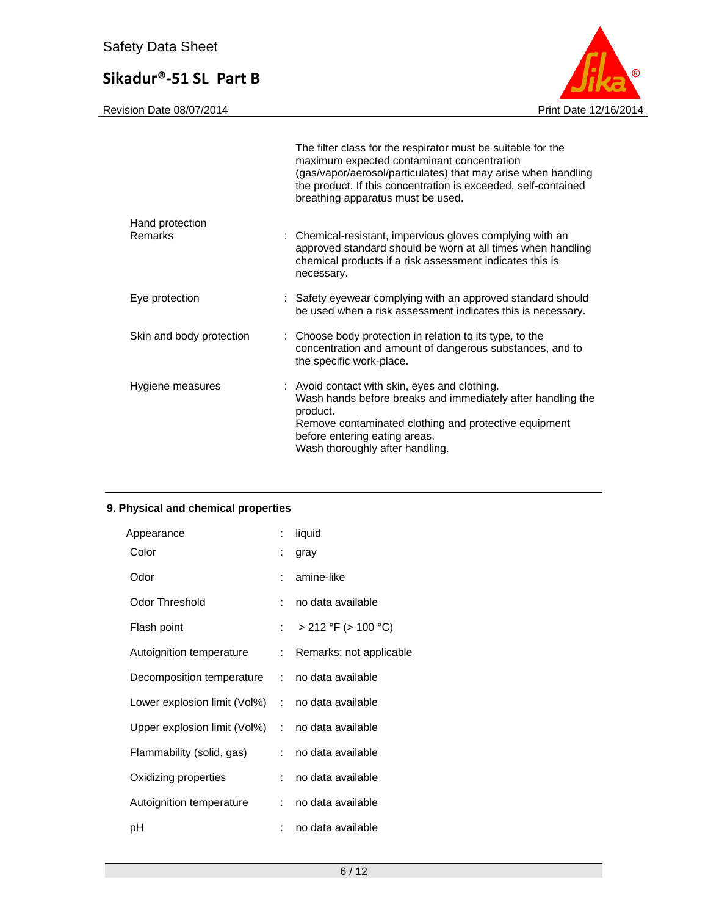

|                          | The filter class for the respirator must be suitable for the<br>maximum expected contaminant concentration<br>(gas/vapor/aerosol/particulates) that may arise when handling<br>the product. If this concentration is exceeded, self-contained<br>breathing apparatus must be used. |  |
|--------------------------|------------------------------------------------------------------------------------------------------------------------------------------------------------------------------------------------------------------------------------------------------------------------------------|--|
| Hand protection          |                                                                                                                                                                                                                                                                                    |  |
| Remarks                  | : Chemical-resistant, impervious gloves complying with an<br>approved standard should be worn at all times when handling<br>chemical products if a risk assessment indicates this is<br>necessary.                                                                                 |  |
| Eye protection           | : Safety eyewear complying with an approved standard should<br>be used when a risk assessment indicates this is necessary.                                                                                                                                                         |  |
| Skin and body protection | : Choose body protection in relation to its type, to the<br>concentration and amount of dangerous substances, and to<br>the specific work-place.                                                                                                                                   |  |
| Hygiene measures         | : Avoid contact with skin, eyes and clothing.<br>Wash hands before breaks and immediately after handling the<br>product.<br>Remove contaminated clothing and protective equipment<br>before entering eating areas.<br>Wash thoroughly after handling.                              |  |

### **9. Physical and chemical properties**

| Appearance                                       | t.                         | liquid                   |
|--------------------------------------------------|----------------------------|--------------------------|
| Color                                            | ÷                          | gray                     |
| Odor                                             | t.                         | amine-like               |
| <b>Odor Threshold</b>                            | t.                         | no data available        |
| Flash point                                      | $\mathcal{L}^{\text{max}}$ | $>$ 212 °F ( $>$ 100 °C) |
| Autoignition temperature                         | ÷.                         | Remarks: not applicable  |
| Decomposition temperature : no data available    |                            |                          |
| Lower explosion limit (Vol%) : no data available |                            |                          |
| Upper explosion limit $(Vol%)$ :                 |                            | no data available        |
| Flammability (solid, gas)                        | ÷.                         | no data available        |
| Oxidizing properties                             | ÷.                         | no data available        |
| Autoignition temperature                         | ÷.                         | no data available        |
| рH                                               | ÷                          | no data available        |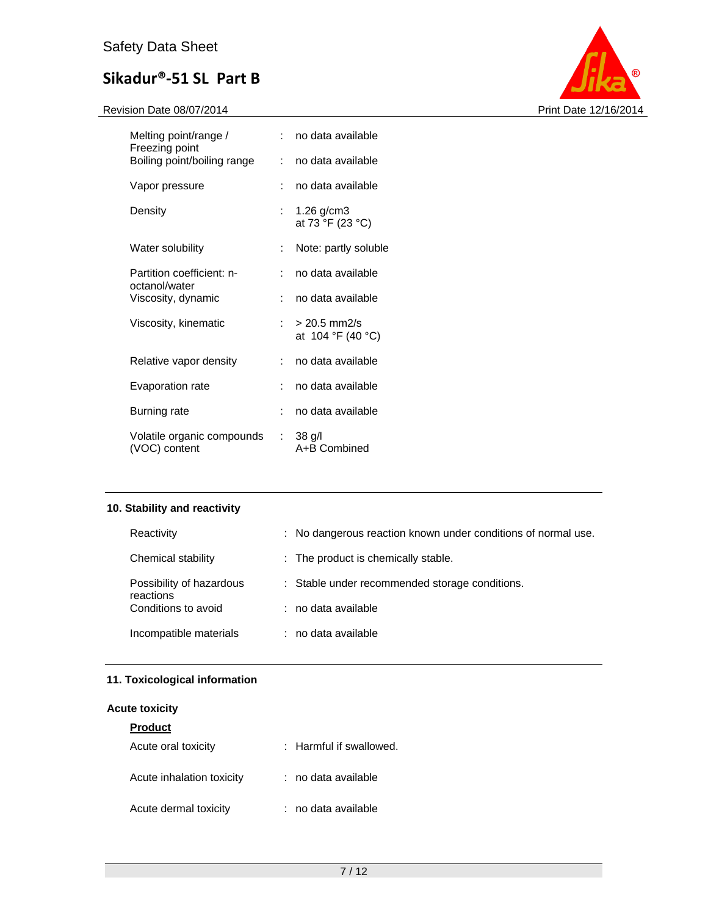

| Melting point/range /<br>Freezing point     |    | : no data available                   |
|---------------------------------------------|----|---------------------------------------|
| Boiling point/boiling range                 |    | : no data available                   |
| Vapor pressure                              |    | no data available                     |
| Density                                     | t. | $1.26$ g/cm3<br>at 73 °F (23 °C)      |
| Water solubility                            | t. | Note: partly soluble                  |
| Partition coefficient: n-<br>octanol/water  | t. | no data available                     |
| Viscosity, dynamic                          | t. | no data available                     |
| Viscosity, kinematic                        |    | $: > 20.5$ mm2/s<br>at 104 °F (40 °C) |
| Relative vapor density                      | t. | no data available                     |
| Evaporation rate                            | t. | no data available                     |
| Burning rate                                | t. | no data available                     |
| Volatile organic compounds<br>(VOC) content |    | $: 38$ g/l<br>A+B Combined            |

### **10. Stability and reactivity**

| Reactivity                            | : No dangerous reaction known under conditions of normal use. |
|---------------------------------------|---------------------------------------------------------------|
| Chemical stability                    | : The product is chemically stable.                           |
| Possibility of hazardous<br>reactions | : Stable under recommended storage conditions.                |
| Conditions to avoid                   | : no data available                                           |
| Incompatible materials                | : no data available                                           |

### **11. Toxicological information**

| <b>Acute toxicity</b>     |                             |  |  |
|---------------------------|-----------------------------|--|--|
| <b>Product</b>            |                             |  |  |
| Acute oral toxicity       | $\pm$ Harmful if swallowed. |  |  |
| Acute inhalation toxicity | : no data available         |  |  |
| Acute dermal toxicity     | : no data available         |  |  |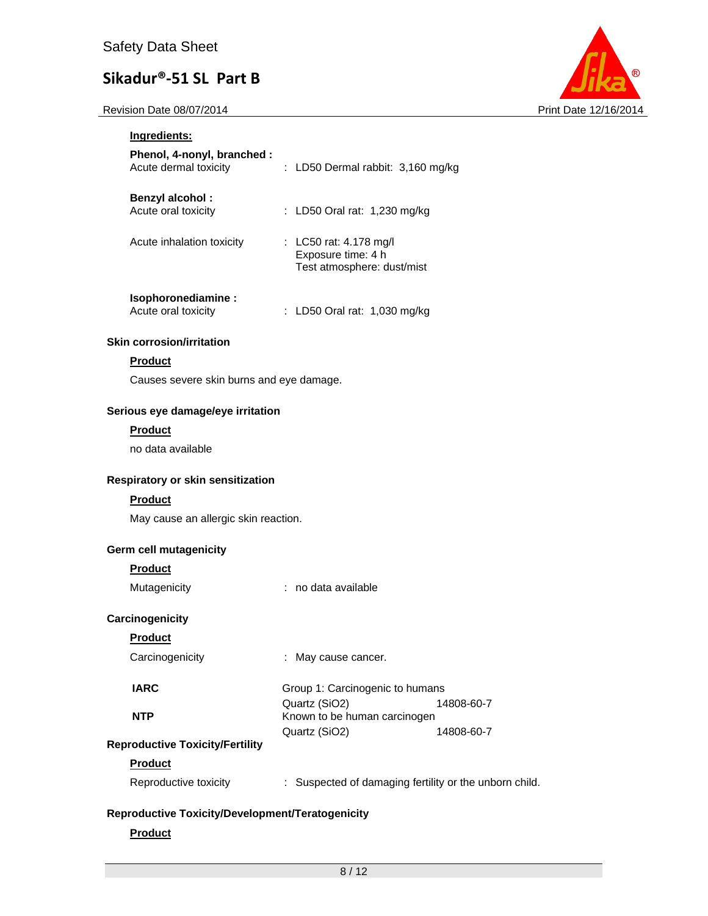

| Ingredients:                                         |                                                                            |
|------------------------------------------------------|----------------------------------------------------------------------------|
| Phenol, 4-nonyl, branched :<br>Acute dermal toxicity | : LD50 Dermal rabbit: 3,160 mg/kg                                          |
| <b>Benzyl alcohol:</b><br>Acute oral toxicity        | : LD50 Oral rat: 1,230 mg/kg                                               |
| Acute inhalation toxicity                            | : LC50 rat: 4.178 mg/l<br>Exposure time: 4 h<br>Test atmosphere: dust/mist |
| Isophoronediamine:<br>Acute oral toxicity            | LD50 Oral rat: 1,030 mg/kg<br>÷.                                           |
| <b>Skin corrosion/irritation</b>                     |                                                                            |
| <b>Product</b>                                       |                                                                            |
| Causes severe skin burns and eye damage.             |                                                                            |
| Serious eye damage/eye irritation                    |                                                                            |
| <b>Product</b>                                       |                                                                            |
| no data available                                    |                                                                            |
| Respiratory or skin sensitization                    |                                                                            |
| <b>Product</b>                                       |                                                                            |
| May cause an allergic skin reaction.                 |                                                                            |
| <b>Germ cell mutagenicity</b>                        |                                                                            |
| <b>Product</b>                                       |                                                                            |
| Mutagenicity                                         | : no data available                                                        |
| Carcinogenicity                                      |                                                                            |
| <b>Product</b>                                       |                                                                            |
| Carcinogenicity                                      | May cause cancer.                                                          |
| <b>IARC</b>                                          | Group 1: Carcinogenic to humans<br>Quartz (SiO2)<br>14808-60-7             |
| <b>NTP</b>                                           | Known to be human carcinogen                                               |
| <b>Reproductive Toxicity/Fertility</b>               | Quartz (SiO2)<br>14808-60-7                                                |
| <b>Product</b>                                       |                                                                            |
| Reproductive toxicity                                | : Suspected of damaging fertility or the unborn child.                     |
| Reproductive Toxicity/Development/Teratogenicity     |                                                                            |

### **Product**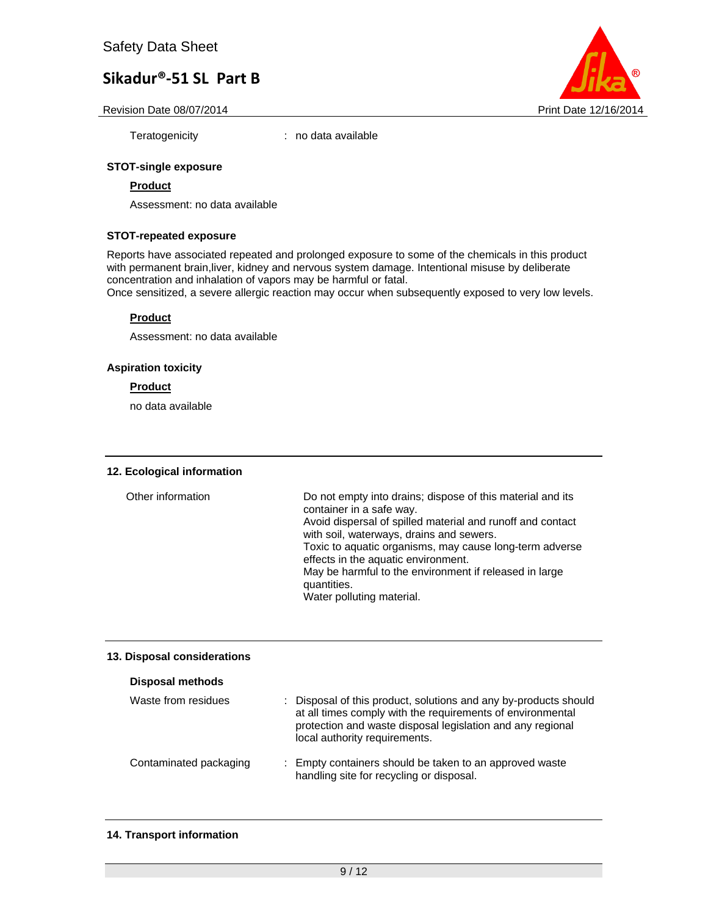Revision Date 08/07/2014 **Print Date 12/16/2014** Print Date 12/16/2014

Teratogenicity : no data available

#### **STOT-single exposure**

#### **Product**

Assessment: no data available

#### **STOT-repeated exposure**

Reports have associated repeated and prolonged exposure to some of the chemicals in this product with permanent brain,liver, kidney and nervous system damage. Intentional misuse by deliberate concentration and inhalation of vapors may be harmful or fatal.

Once sensitized, a severe allergic reaction may occur when subsequently exposed to very low levels.

#### **Product**

Assessment: no data available

#### **Aspiration toxicity**

#### **Product**

no data available

#### **12. Ecological information**

| Other information | Do not empty into drains; dispose of this material and its<br>container in a safe way.<br>Avoid dispersal of spilled material and runoff and contact<br>with soil, waterways, drains and sewers.<br>Toxic to aquatic organisms, may cause long-term adverse<br>effects in the aquatic environment.<br>May be harmful to the environment if released in large<br>quantities. |
|-------------------|-----------------------------------------------------------------------------------------------------------------------------------------------------------------------------------------------------------------------------------------------------------------------------------------------------------------------------------------------------------------------------|
|                   | Water polluting material.                                                                                                                                                                                                                                                                                                                                                   |

#### **13. Disposal considerations**

#### **Disposal methods**

| Waste from residues    | : Disposal of this product, solutions and any by-products should<br>at all times comply with the requirements of environmental<br>protection and waste disposal legislation and any regional<br>local authority requirements. |
|------------------------|-------------------------------------------------------------------------------------------------------------------------------------------------------------------------------------------------------------------------------|
| Contaminated packaging | : Empty containers should be taken to an approved waste<br>handling site for recycling or disposal.                                                                                                                           |

#### **14. Transport information**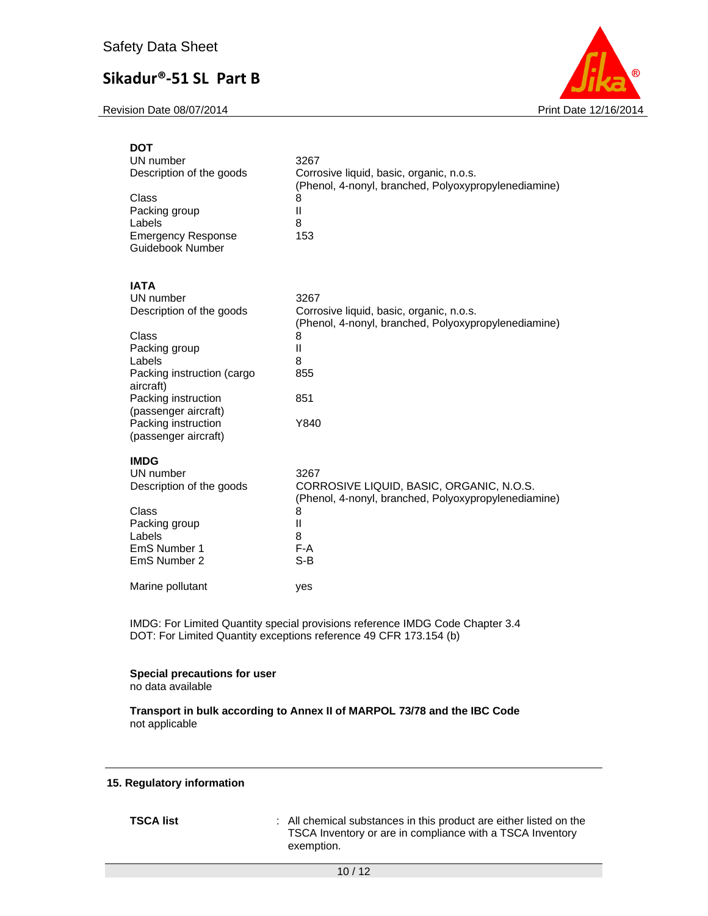Revision Date 08/07/2014 **Print Date 12/16/2014** 



| <b>DOT</b><br>UN number<br>Description of the goods<br>Class<br>Packing group<br>Labels<br><b>Emergency Response</b><br>Guidebook Number                                                                                          | 3267<br>Corrosive liquid, basic, organic, n.o.s.<br>(Phenol, 4-nonyl, branched, Polyoxypropylenediamine)<br>8<br>Ш<br>8<br>153                       |
|-----------------------------------------------------------------------------------------------------------------------------------------------------------------------------------------------------------------------------------|------------------------------------------------------------------------------------------------------------------------------------------------------|
| <b>IATA</b><br>UN number<br>Description of the goods<br>Class<br>Packing group<br>Labels<br>Packing instruction (cargo<br>aircraft)<br>Packing instruction<br>(passenger aircraft)<br>Packing instruction<br>(passenger aircraft) | 3267<br>Corrosive liquid, basic, organic, n.o.s.<br>(Phenol, 4-nonyl, branched, Polyoxypropylenediamine)<br>8<br>Ш<br>8<br>855<br>851<br>Y840        |
| <b>IMDG</b><br>UN number<br>Description of the goods<br>Class<br>Packing group<br>Labels<br>EmS Number 1<br>EmS Number 2                                                                                                          | 3267<br>CORROSIVE LIQUID, BASIC, ORGANIC, N.O.S.<br>(Phenol, 4-nonyl, branched, Polyoxypropylenediamine)<br>8<br>$\mathbf{I}$<br>8<br>$F-A$<br>$S-B$ |
| Marine pollutant                                                                                                                                                                                                                  | yes                                                                                                                                                  |

IMDG: For Limited Quantity special provisions reference IMDG Code Chapter 3.4 DOT: For Limited Quantity exceptions reference 49 CFR 173.154 (b)

### **Special precautions for user**

no data available

**Transport in bulk according to Annex II of MARPOL 73/78 and the IBC Code**  not applicable

#### **15. Regulatory information**

**TSCA list** : All chemical substances in this product are either listed on the TSCA Inventory or are in compliance with a TSCA Inventory exemption.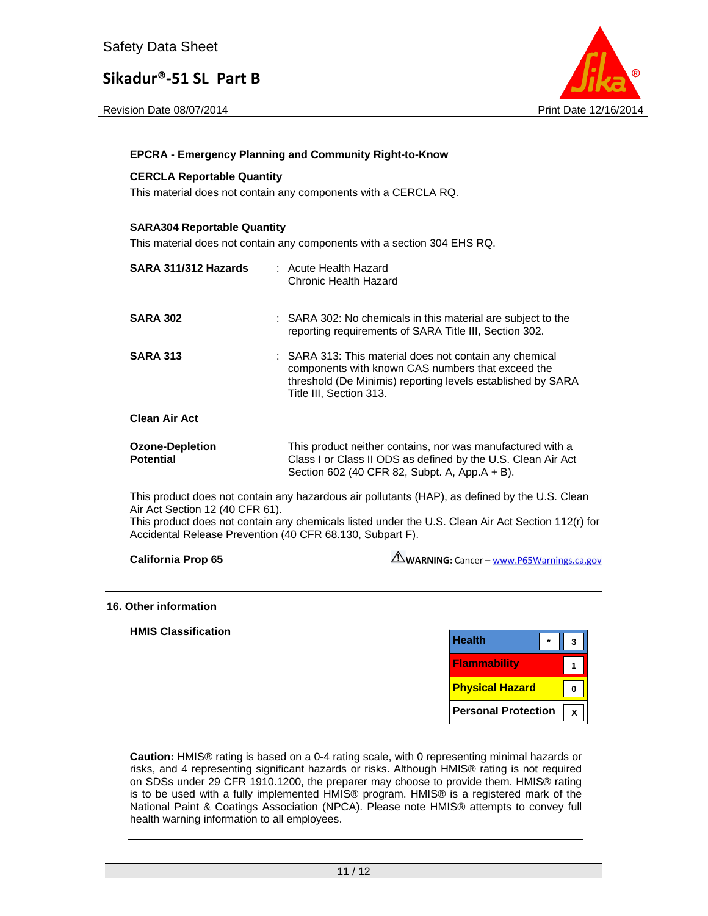



#### **EPCRA - Emergency Planning and Community Right-to-Know**

#### **CERCLA Reportable Quantity**

This material does not contain any components with a CERCLA RQ.

#### **SARA304 Reportable Quantity**

This material does not contain any components with a section 304 EHS RQ.

| SARA 311/312 Hazards                       | : Acute Health Hazard<br>Chronic Health Hazard                                                                                                                                                         |
|--------------------------------------------|--------------------------------------------------------------------------------------------------------------------------------------------------------------------------------------------------------|
| <b>SARA 302</b>                            | : SARA 302: No chemicals in this material are subject to the<br>reporting requirements of SARA Title III, Section 302.                                                                                 |
| <b>SARA 313</b>                            | : SARA 313: This material does not contain any chemical<br>components with known CAS numbers that exceed the<br>threshold (De Minimis) reporting levels established by SARA<br>Title III, Section 313. |
| Clean Air Act                              |                                                                                                                                                                                                        |
| <b>Ozone-Depletion</b><br><b>Potential</b> | This product neither contains, nor was manufactured with a<br>Class I or Class II ODS as defined by the U.S. Clean Air Act<br>Section 602 (40 CFR 82, Subpt. A, App.A + B).                            |
|                                            | This product does not contain any hazardous air pollutants (HAP), as defined by the U.S. Clear                                                                                                         |

This product does not contain any hazardous air pollutants (HAP), as defined by the U.S. Clean Air Act Section 12 (40 CFR 61).

This product does not contain any chemicals listed under the U.S. Clean Air Act Section 112(r) for Accidental Release Prevention (40 CFR 68.130, Subpart F).

**California Prop 65** 

WARNING: Cancer - www.P65Warnings.ca.gov

#### **16. Other information**

#### **HMIS Classification**

| <b>Health</b>              |  |
|----------------------------|--|
| <b>Flammability</b>        |  |
| <b>Physical Hazard</b>     |  |
| <b>Personal Protection</b> |  |

**Caution:** HMIS® rating is based on a 0-4 rating scale, with 0 representing minimal hazards or risks, and 4 representing significant hazards or risks. Although HMIS® rating is not required on SDSs under 29 CFR 1910.1200, the preparer may choose to provide them. HMIS® rating is to be used with a fully implemented HMIS® program. HMIS® is a registered mark of the National Paint & Coatings Association (NPCA). Please note HMIS® attempts to convey full health warning information to all employees.